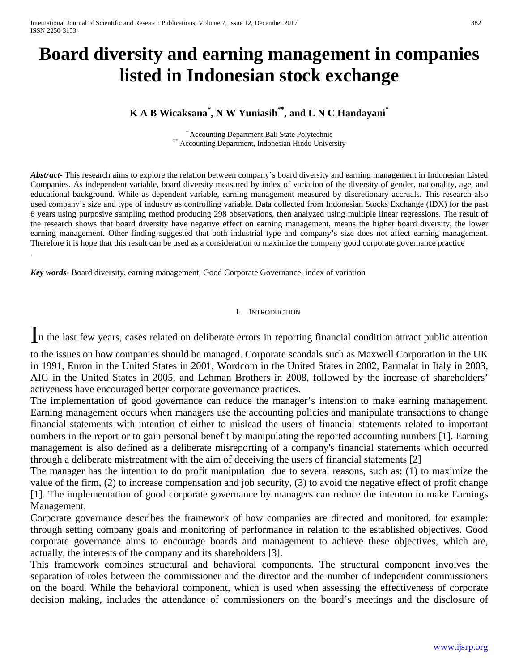# **Board diversity and earning management in companies listed in Indonesian stock exchange**

## **K A B Wicaksana\* , N W Yuniasih\*\*, and L N C Handayani\***

\* Accounting Department Bali State Polytechnic \*\*<br>\*\* Accounting Department, Indonesian Hindu University

*Abstract***-** This research aims to explore the relation between company's board diversity and earning management in Indonesian Listed Companies. As independent variable, board diversity measured by index of variation of the diversity of gender, nationality, age, and educational background. While as dependent variable, earning management measured by discretionary accruals. This research also used company's size and type of industry as controlling variable. Data collected from Indonesian Stocks Exchange (IDX) for the past 6 years using purposive sampling method producing 298 observations, then analyzed using multiple linear regressions. The result of the research shows that board diversity have negative effect on earning management, means the higher board diversity, the lower earning management. Other finding suggested that both industrial type and company's size does not affect earning management. Therefore it is hope that this result can be used as a consideration to maximize the company good corporate governance practice

*Key words*- Board diversity, earning management, Good Corporate Governance, index of variation

.

#### I. INTRODUCTION

In the last few years, cases related on deliberate errors in reporting financial condition attract public attention

to the issues on how companies should be managed. Corporate scandals such as Maxwell Corporation in the UK in 1991, Enron in the United States in 2001, Wordcom in the United States in 2002, Parmalat in Italy in 2003, AIG in the United States in 2005, and Lehman Brothers in 2008, followed by the increase of shareholders' activeness have encouraged better corporate governance practices.

The implementation of good governance can reduce the manager's intension to make earning management. Earning management occurs when managers use the accounting policies and manipulate transactions to change financial statements with intention of either to mislead the users of financial statements related to important numbers in the report or to gain personal benefit by manipulating the reported accounting numbers [1]. Earning management is also defined as a deliberate misreporting of a company's financial statements which occurred through a deliberate mistreatment with the aim of deceiving the users of financial statements [2]

The manager has the intention to do profit manipulation due to several reasons, such as: (1) to maximize the value of the firm, (2) to increase compensation and job security, (3) to avoid the negative effect of profit change [1]. The implementation of good corporate governance by managers can reduce the intenton to make Earnings Management.

Corporate governance describes the framework of how companies are directed and monitored, for example: through setting company goals and monitoring of performance in relation to the established objectives. Good corporate governance aims to encourage boards and management to achieve these objectives, which are, actually, the interests of the company and its shareholders [3].

This framework combines structural and behavioral components. The structural component involves the separation of roles between the commissioner and the director and the number of independent commissioners on the board. While the behavioral component, which is used when assessing the effectiveness of corporate decision making, includes the attendance of commissioners on the board's meetings and the disclosure of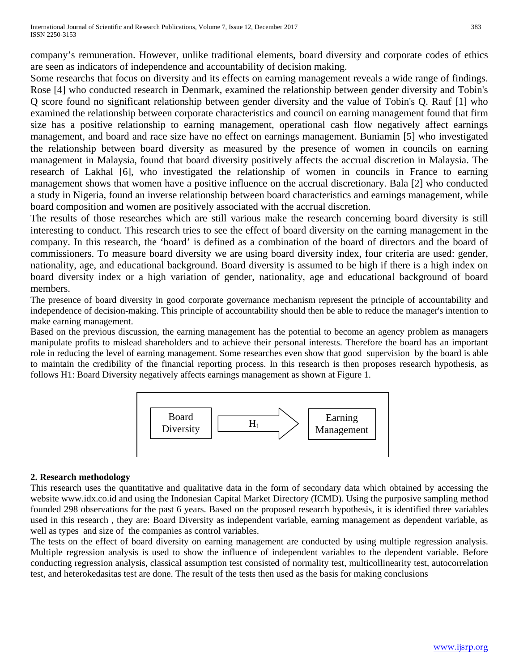company's remuneration. However, unlike traditional elements, board diversity and corporate codes of ethics are seen as indicators of independence and accountability of decision making.

Some researchs that focus on diversity and its effects on earning management reveals a wide range of findings. Rose [4] who conducted research in Denmark, examined the relationship between gender diversity and Tobin's Q score found no significant relationship between gender diversity and the value of Tobin's Q. Rauf [1] who examined the relationship between corporate characteristics and council on earning management found that firm size has a positive relationship to earning management, operational cash flow negatively affect earnings management, and board and race size have no effect on earnings management. Buniamin [5] who investigated the relationship between board diversity as measured by the presence of women in councils on earning management in Malaysia, found that board diversity positively affects the accrual discretion in Malaysia. The research of Lakhal [6], who investigated the relationship of women in councils in France to earning management shows that women have a positive influence on the accrual discretionary. Bala [2] who conducted a study in Nigeria, found an inverse relationship between board characteristics and earnings management, while board composition and women are positively associated with the accrual discretion.

The results of those researches which are still various make the research concerning board diversity is still interesting to conduct. This research tries to see the effect of board diversity on the earning management in the company. In this research, the 'board' is defined as a combination of the board of directors and the board of commissioners. To measure board diversity we are using board diversity index, four criteria are used: gender, nationality, age, and educational background. Board diversity is assumed to be high if there is a high index on board diversity index or a high variation of gender, nationality, age and educational background of board members.

The presence of board diversity in good corporate governance mechanism represent the principle of accountability and independence of decision-making. This principle of accountability should then be able to reduce the manager's intention to make earning management.

Based on the previous discussion, the earning management has the potential to become an agency problem as managers manipulate profits to mislead shareholders and to achieve their personal interests. Therefore the board has an important role in reducing the level of earning management. Some researches even show that good supervision by the board is able to maintain the credibility of the financial reporting process. In this research is then proposes research hypothesis, as follows H1: Board Diversity negatively affects earnings management as shown at Figure 1.



## **2. Research methodology**

This research uses the quantitative and qualitative data in the form of secondary data which obtained by accessing the website www.idx.co.id and using the Indonesian Capital Market Directory (ICMD). Using the purposive sampling method founded 298 observations for the past 6 years. Based on the proposed research hypothesis, it is identified three variables used in this research , they are: Board Diversity as independent variable, earning management as dependent variable, as well as types and size of the companies as control variables.

The tests on the effect of board diversity on earning management are conducted by using multiple regression analysis. Multiple regression analysis is used to show the influence of independent variables to the dependent variable. Before conducting regression analysis, classical assumption test consisted of normality test, multicollinearity test, autocorrelation test, and heterokedasitas test are done. The result of the tests then used as the basis for making conclusions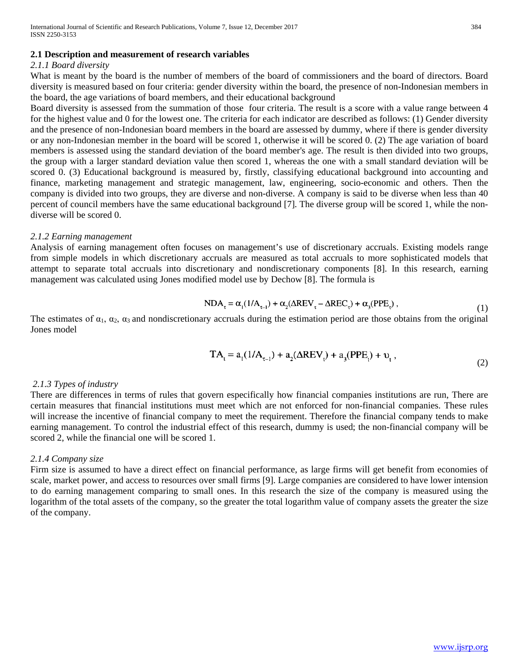#### **2.1 Description and measurement of research variables**

#### *2.1.1 Board diversity*

What is meant by the board is the number of members of the board of commissioners and the board of directors. Board diversity is measured based on four criteria: gender diversity within the board, the presence of non-Indonesian members in the board, the age variations of board members, and their educational background

Board diversity is assessed from the summation of those four criteria. The result is a score with a value range between 4 for the highest value and 0 for the lowest one. The criteria for each indicator are described as follows: (1) Gender diversity and the presence of non-Indonesian board members in the board are assessed by dummy, where if there is gender diversity or any non-Indonesian member in the board will be scored 1, otherwise it will be scored 0. (2) The age variation of board members is assessed using the standard deviation of the board member's age. The result is then divided into two groups, the group with a larger standard deviation value then scored 1, whereas the one with a small standard deviation will be scored 0. (3) Educational background is measured by, firstly, classifying educational background into accounting and finance, marketing management and strategic management, law, engineering, socio-economic and others. Then the company is divided into two groups, they are diverse and non-diverse. A company is said to be diverse when less than 40 percent of council members have the same educational background [7]. The diverse group will be scored 1, while the nondiverse will be scored 0.

#### *2.1.2 Earning management*

Analysis of earning management often focuses on management's use of discretionary accruals. Existing models range from simple models in which discretionary accruals are measured as total accruals to more sophisticated models that attempt to separate total accruals into discretionary and nondiscretionary components [8]. In this research, earning management was calculated using Jones modified model use by Dechow [8]. The formula is

$$
NDA_{\tau} = \alpha_1 (1/A_{\tau-1}) + \alpha_2 (\Delta REV_{\tau} - \Delta REC_{\tau}) + \alpha_3 (PPE_{\tau}),
$$
\n(1)

The estimates of  $\alpha_1$ ,  $\alpha_2$ ,  $\alpha_3$  and nondiscretionary accruals during the estimation period are those obtains from the original Jones model

$$
TA_{t} = a_{1}(1/A_{t-1}) + a_{2}(\Delta REV_{t}) + a_{3}(PPE_{t}) + v_{t},
$$
\n(2)

#### *2.1.3 Types of industry*

There are differences in terms of rules that govern especifically how financial companies institutions are run, There are certain measures that financial institutions must meet which are not enforced for non-financial companies. These rules will increase the incentive of financial company to meet the requirement. Therefore the financial company tends to make earning management. To control the industrial effect of this research, dummy is used; the non-financial company will be scored 2, while the financial one will be scored 1.

#### *2.1.4 Company size*

Firm size is assumed to have a direct effect on financial performance, as large firms will get benefit from economies of scale, market power, and access to resources over small firms [9]. Large companies are considered to have lower intension to do earning management comparing to small ones. In this research the size of the company is measured using the logarithm of the total assets of the company, so the greater the total logarithm value of company assets the greater the size of the company.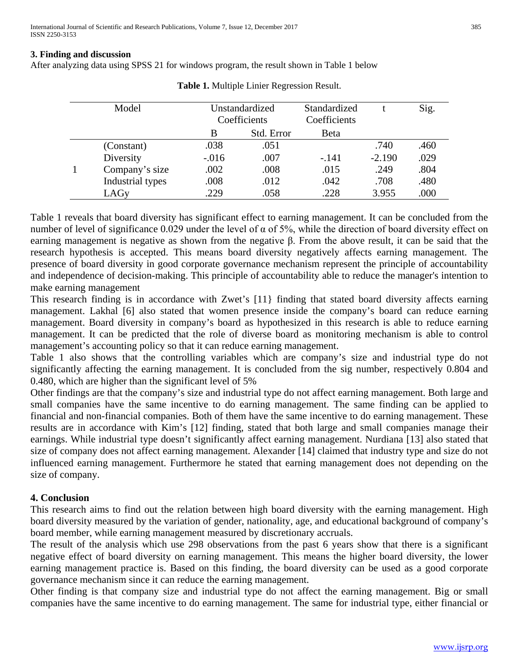### **3. Finding and discussion**

After analyzing data using SPSS 21 for windows program, the result shown in Table 1 below

|  | Model            | Unstandardized |            | Standardized |          | Sig. |
|--|------------------|----------------|------------|--------------|----------|------|
|  |                  | Coefficients   |            | Coefficients |          |      |
|  |                  | B              | Std. Error | Beta         |          |      |
|  | (Constant)       | .038           | .051       |              | .740     | .460 |
|  | Diversity        | $-.016$        | .007       | $-.141$      | $-2.190$ | .029 |
|  | Company's size   | .002           | .008       | .015         | .249     | .804 |
|  | Industrial types | .008           | .012       | .042         | .708     | .480 |
|  | LAGy             | .229           | .058       | .228         | 3.955    | .000 |

**Table 1.** Multiple Linier Regression Result.

Table 1 reveals that board diversity has significant effect to earning management. It can be concluded from the number of level of significance 0.029 under the level of  $\alpha$  of 5%, while the direction of board diversity effect on earning management is negative as shown from the negative β. From the above result, it can be said that the research hypothesis is accepted. This means board diversity negatively affects earning management. The presence of board diversity in good corporate governance mechanism represent the principle of accountability and independence of decision-making. This principle of accountability able to reduce the manager's intention to make earning management

This research finding is in accordance with Zwet's [11} finding that stated board diversity affects earning management. Lakhal [6] also stated that women presence inside the company's board can reduce earning management. Board diversity in company's board as hypothesized in this research is able to reduce earning management. It can be predicted that the role of diverse board as monitoring mechanism is able to control management's accounting policy so that it can reduce earning management.

Table 1 also shows that the controlling variables which are company's size and industrial type do not significantly affecting the earning management. It is concluded from the sig number, respectively 0.804 and 0.480, which are higher than the significant level of 5%

Other findings are that the company's size and industrial type do not affect earning management. Both large and small companies have the same incentive to do earning management. The same finding can be applied to financial and non-financial companies. Both of them have the same incentive to do earning management. These results are in accordance with Kim's [12] finding, stated that both large and small companies manage their earnings. While industrial type doesn't significantly affect earning management. Nurdiana [13] also stated that size of company does not affect earning management. Alexander [14] claimed that industry type and size do not influenced earning management. Furthermore he stated that earning management does not depending on the size of company.

## **4. Conclusion**

This research aims to find out the relation between high board diversity with the earning management. High board diversity measured by the variation of gender, nationality, age, and educational background of company's board member, while earning management measured by discretionary accruals.

The result of the analysis which use 298 observations from the past 6 years show that there is a significant negative effect of board diversity on earning management. This means the higher board diversity, the lower earning management practice is. Based on this finding, the board diversity can be used as a good corporate governance mechanism since it can reduce the earning management.

Other finding is that company size and industrial type do not affect the earning management. Big or small companies have the same incentive to do earning management. The same for industrial type, either financial or